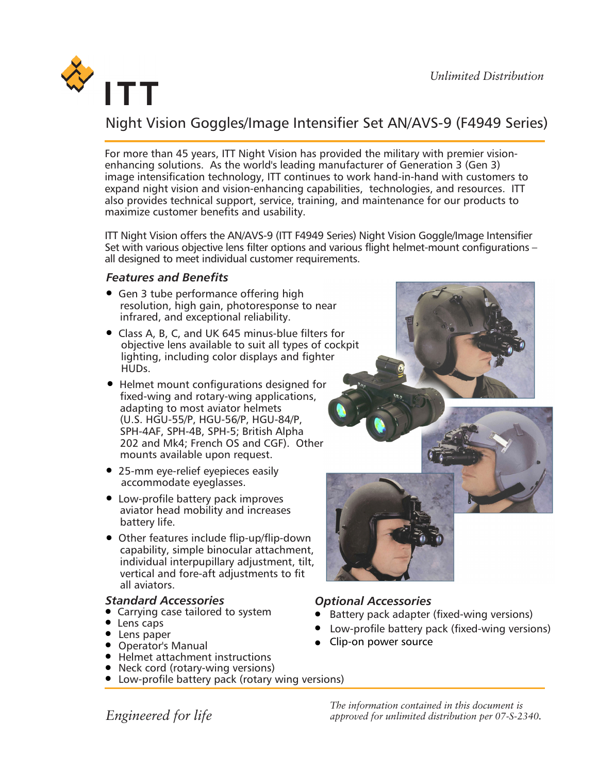

# Night Vision Goggles/Image Intensifier Set AN/AVS-9 (F4949 Series)

For more than 45 years, ITT Night Vision has provided the military with premier visionenhancing solutions. As the world's leading manufacturer of Generation 3 (Gen 3) image intensification technology, ITT continues to work hand-in-hand with customers to expand night vision and vision-enhancing capabilities, technologies, and resources. ITT also provides technical support, service, training, and maintenance for our products to maximize customer benefits and usability.

ITT Night Vision offers the AN/AVS-9 (ITT F4949 Series) Night Vision Goggle/Image Intensifier Set with various objective lens filter options and various flight helmet-mount configurations – all designed to meet individual customer requirements.

## *Features and Benefits*

- Gen 3 tube performance offering high resolution, high gain, photoresponse to near infrared, and exceptional reliability.
- Class A, B, C, and UK 645 minus-blue filters for objective lens available to suit all types of cockpit lighting, including color displays and fighter HUDs.
- Helmet mount configurations designed for fixed-wing and rotary-wing applications, adapting to most aviator helmets (U.S. HGU-55/P, HGU-56/P, HGU-84/P, SPH-4AF, SPH-4B, SPH-5; British Alpha 202 and Mk4; French OS and CGF). Other mounts available upon request.
- 25-mm eye-relief eyepieces easily accommodate eyeglasses.
- Low-profile battery pack improves aviator head mobility and increases battery life.
- Other features include flip-up/flip-down capability, simple binocular attachment, individual interpupillary adjustment, tilt, vertical and fore-aft adjustments to fit all aviators.

### *Standard Accessories*

- Carrying case tailored to system
- Lens caps
- Lens paper
- Operator's Manual
- Helmet attachment instructions
- Neck cord (rotary-wing versions)
- Low-profile battery pack (rotary wing versions)



## *Optional Accessories*

- Battery pack adapter (fixed-wing versions)
- Low-profile battery pack (fixed-wing versions)
- Clip-on power source

*The information contained in this document is approved for unlimited distribution per 07-S-2340.*

*Engineered for life*